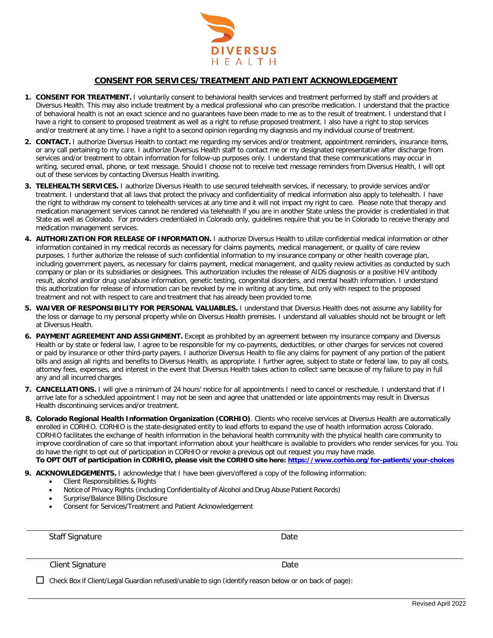

#### **CONSENT FOR SERVICES/TREATMENT AND PATIENT ACKNOWLEDGEMENT**

- **1. CONSENT FOR TREATMENT.** I voluntarily consent to behavioral health services and treatment performed by staff and providers at Diversus Health. This may also include treatment by a medical professional who can prescribe medication. I understand that the practice of behavioral health is not an exact science and no guarantees have been made to me as to the result of treatment. I understand that I have a right to consent to proposed treatment as well as a right to refuse proposed treatment. I also have a right to stop services and/or treatment at any time. I have a right to a second opinion regarding my diagnosis and my individual course of treatment.
- **2. CONTACT.** I authorize Diversus Health to contact me regarding my services and/or treatment, appointment reminders, insurance items, or any call pertaining to my care. I authorize Diversus Health staff to contact me or my designated representative after discharge from services and/or treatment to obtain information for follow-up purposes only. I understand that these communications may occur in writing, secured email, phone, or text message. Should I choose not to receive text message reminders from Diversus Health, I will opt out of these services by contacting Diversus Health inwriting.
- **3. TELEHEALTH SERVICES.** I authorize Diversus Health to use secured telehealth services, if necessary, to provide services and/or treatment. I understand that all laws that protect the privacy and confidentiality of medical information also apply to telehealth. I have the right to withdraw my consent to telehealth services at any time and it will not impact my right to care. Please note that therapy and medication management services cannot be rendered via telehealth if you are in another State unless the provider is credentialed in that State as well as Colorado. For providers credentialed in Colorado only, guidelines require that you be in Colorado to receive therapy and medication management services.
- **4. AUTHORIZATION FOR RELEASE OF INFORMATION.** I authorize Diversus Health to utilize confidential medical information or other information contained in my medical records as necessary for claims payments, medical management, or quality of care review purposes. I further authorize the release of such confidential information to my insurance company or other health coverage plan, including government payers, as necessary for claims payment, medical management, and quality review activities as conducted by such company or plan or its subsidiaries or designees. This authorization includes the release of AIDS diagnosis or a positive HIV antibody result, alcohol and/or drug use/abuse information, genetic testing, congenital disorders, and mental health information. I understand this authorization for release of information can be revoked by me in writing at any time, but only with respect to the proposed treatment and not with respect to care and treatment that has already been provided to me.
- **5. WAIVER OF RESPONSIBILITY FOR PERSONAL VALUABLES.** I understand that Diversus Health does not assume any liability for the loss or damage to my personal property while on Diversus Health premises. I understand all valuables should not be brought or left at Diversus Health.
- **6. PAYMENT AGREEMENT AND ASSIGNMENT.** Except as prohibited by an agreement between my insurance company and Diversus Health or by state or federal law, I agree to be responsible for my co-payments, deductibles, or other charges for services not covered or paid by insurance or other third-party payers. I authorize Diversus Health to file any claims for payment of any portion of the patient bills and assign all rights and benefits to Diversus Health, as appropriate. I further agree, subject to state or federal law, to pay all costs, attorney fees, expenses, and interest in the event that Diversus Health takes action to collect same because of my failure to pay in full any and all incurred charges.
- **7. CANCELLATIONS.** I will give a minimum of 24 hours' notice for all appointments I need to cancel or reschedule. I understand that if I arrive late for a scheduled appointment I may not be seen and agree that unattended or late appointments may result in Diversus Health discontinuing services and/or treatment.
- **8. Colorado Regional Health Information Organization (CORHIO)**. Clients who receive services at Diversus Health are automatically enrolled in CORHIO. CORHIO is the state-designated entity to lead efforts to expand the use of health information across Colorado. CORHIO facilitates the exchange of health information in the behavioral health community with the physical health care community to improve coordination of care so that important information about your healthcare is available to providers who render services for you. You do have the right to opt out of participation in CORHIO or revoke a previous opt out request you may have made. **To OPT OUT of participation in CORHIO, please visit the CORHIO site here: <https://www.corhio.org/for-patients/your-choices>**

**9. ACKNOWLEDGEMENTS.** I acknowledge that I have been given/offered a copy of the following information:

- Client Responsibilities & Rights
- Notice of Privacy Rights (including Confidentiality of Alcohol and Drug Abuse Patient Records)
- Surprise/Balance Billing Disclosure
- Consent for Services/Treatment and Patient Acknowledgement

Staff Signature Date Date

Client Signature Date

 $\Box$  Check Box if Client/Legal Guardian refused/unable to sign (identify reason below or on back of page):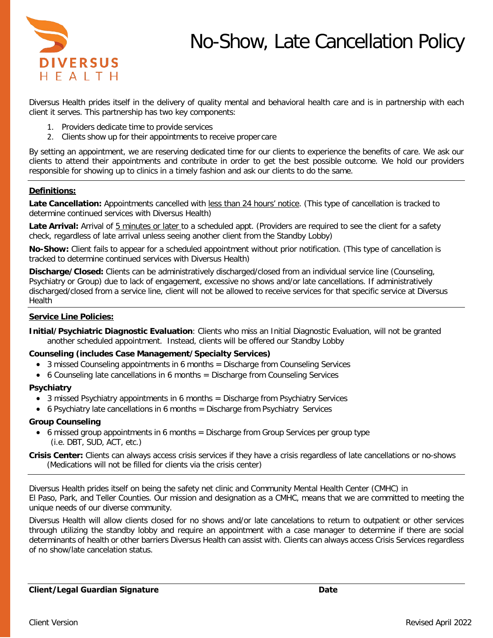



Diversus Health prides itself in the delivery of quality mental and behavioral health care and is in partnership with each client it serves. This partnership has two key components:

- 1. Providers dedicate time to provide services
- 2. Clients show up for their appointments to receive proper care

By setting an appointment, we are reserving dedicated time for our clients to experience the benefits of care. We ask our clients to attend their appointments and contribute in order to get the best possible outcome. We hold our providers responsible for showing up to clinics in a timely fashion and ask our clients to do the same.

# **Definitions:**

**Late Cancellation:** Appointments cancelled with less than 24 hours' notice. (This type of cancellation is tracked to determine continued services with Diversus Health)

Late Arrival: Arrival of 5 minutes or later to a scheduled appt. (Providers are required to see the client for a safety check, regardless of late arrival unless seeing another client from the Standby Lobby)

**No-Show:** Client fails to appear for a scheduled appointment without prior notification. (This type of cancellation is tracked to determine continued services with Diversus Health)

**Discharge/Closed:** Clients can be administratively discharged/closed from an individual service line (Counseling, Psychiatry or Group) due to lack of engagement, excessive no shows and/or late cancellations. If administratively discharged/closed from a service line, client will not be allowed to receive services for that specific service at Diversus Health

# **Service Line Policies:**

#### **Counseling (includes Case Management/Specialty Services)**

- 3 missed Counseling appointments in 6 months = Discharge from Counseling Services
- 6 Counseling late cancellations in 6 months = Discharge from Counseling Services

#### **Psychiatry**

- 3 missed Psychiatry appointments in 6 months = Discharge from Psychiatry Services
- 6 Psychiatry late cancellations in 6 months = Discharge from Psychiatry Services

#### **Group Counseling**

• 6 missed group appointments in 6 months = Discharge from Group Services per group type (i.e. DBT, SUD, ACT, etc.)

**Crisis Center:** Clients can always access crisis services if they have a crisis regardless of late cancellations or no-shows (Medications will not be filled for clients via the crisis center)

Diversus Health prides itself on being the safety net clinic and Community Mental Health Center (CMHC) in El Paso, Park, and Teller Counties. Our mission and designation as a CMHC, means that we are committed to meeting the unique needs of our diverse community.

Diversus Health will allow clients closed for no shows and/or late cancelations to return to outpatient or other services through utilizing the standby lobby and require an appointment with a case manager to determine if there are social determinants of health or other barriers Diversus Health can assist with. Clients can always access Crisis Services regardless of no show/late cancelation status.

**Initial/Psychiatric Diagnostic Evaluation**: Clients who miss an Initial Diagnostic Evaluation, will not be granted another scheduled appointment. Instead, clients will be offered our Standby Lobby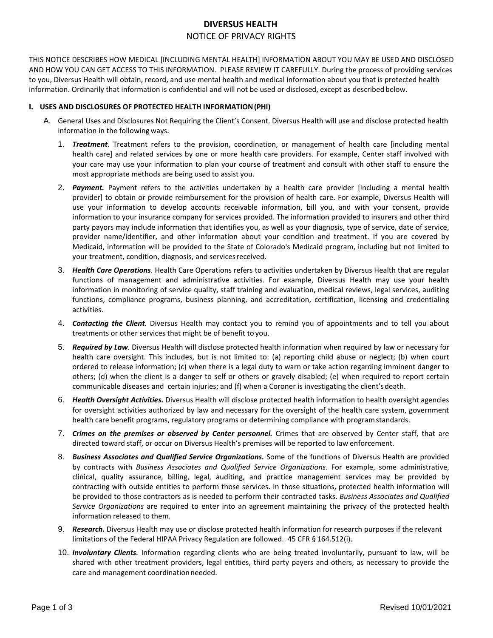# **DIVERSUS HEALTH** NOTICE OF PRIVACY RIGHTS

THIS NOTICE DESCRIBES HOW MEDICAL [INCLUDING MENTAL HEALTH] INFORMATION ABOUT YOU MAY BE USED AND DISCLOSED AND HOW YOU CAN GET ACCESS TO THIS INFORMATION. PLEASE REVIEW IT CAREFULLY. During the process of providing services to you, Diversus Health will obtain, record, and use mental health and medical information about you that is protected health information. Ordinarily that information is confidential and will not be used or disclosed, except as described below.

## **I. USES AND DISCLOSURES OF PROTECTED HEALTH INFORMATION(PHI)**

- A. General Uses and Disclosures Not Requiring the Client's Consent. Diversus Health will use and disclose protected health information in the following ways.
	- 1. *Treatment.* Treatment refers to the provision, coordination, or management of health care [including mental health care] and related services by one or more health care providers. For example, Center staff involved with your care may use your information to plan your course of treatment and consult with other staff to ensure the most appropriate methods are being used to assist you.
	- 2. *Payment.* Payment refers to the activities undertaken by a health care provider [including a mental health provider] to obtain or provide reimbursement for the provision of health care. For example, Diversus Health will use your information to develop accounts receivable information, bill you, and with your consent, provide information to your insurance company for services provided. The information provided to insurers and other third party payors may include information that identifies you, as well as your diagnosis, type of service, date of service, provider name/identifier, and other information about your condition and treatment. If you are covered by Medicaid, information will be provided to the State of Colorado's Medicaid program, including but not limited to your treatment, condition, diagnosis, and services received.
	- 3. *Health Care Operations.* Health Care Operations refers to activities undertaken by Diversus Health that are regular functions of management and administrative activities. For example, Diversus Health may use your health information in monitoring of service quality, staff training and evaluation, medical reviews, legal services, auditing functions, compliance programs, business planning, and accreditation, certification, licensing and credentialing activities.
	- 4. *Contacting the Client.* Diversus Health may contact you to remind you of appointments and to tell you about treatments or other services that might be of benefit to you.
	- 5. *Required by Law.* Diversus Health will disclose protected health information when required by law or necessary for health care oversight. This includes, but is not limited to: (a) reporting child abuse or neglect; (b) when court ordered to release information; (c) when there is a legal duty to warn or take action regarding imminent danger to others; (d) when the client is a danger to self or others or gravely disabled; (e) when required to report certain communicable diseases and certain injuries; and (f) when a Coroner is investigating the client'sdeath.
	- 6. *Health Oversight Activities.* Diversus Health will disclose protected health information to health oversight agencies for oversight activities authorized by law and necessary for the oversight of the health care system, government health care benefit programs, regulatory programs or determining compliance with programstandards.
	- 7. *Crimes on the premises or observed by Center personnel.* Crimes that are observed by Center staff, that are directed toward staff, or occur on Diversus Health's premises will be reported to law enforcement.
	- 8. *Business Associates and Qualified Service Organizations.* Some of the functions of Diversus Health are provided by contracts with *Business Associates and Qualified Service Organizations*. For example, some administrative, clinical, quality assurance, billing, legal, auditing, and practice management services may be provided by contracting with outside entities to perform those services. In those situations, protected health information will be provided to those contractors as is needed to perform their contracted tasks. *Business Associates and Qualified Service Organizations* are required to enter into an agreement maintaining the privacy of the protected health information released to them.
	- 9. *Research.* Diversus Health may use or disclose protected health information for research purposes if the relevant limitations of the Federal HIPAA Privacy Regulation are followed. 45 CFR § 164.512(i).
	- 10. *Involuntary Clients.* Information regarding clients who are being treated involuntarily, pursuant to law, will be shared with other treatment providers, legal entities, third party payers and others, as necessary to provide the care and management coordination needed.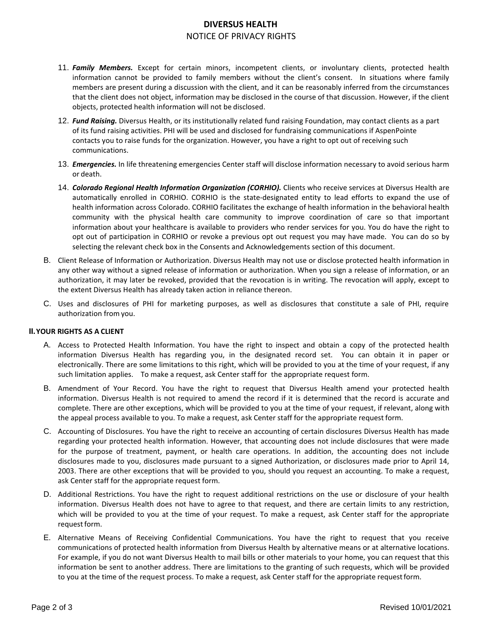# **DIVERSUS HEALTH** NOTICE OF PRIVACY RIGHTS

- 11. *Family Members.* Except for certain minors, incompetent clients, or involuntary clients, protected health information cannot be provided to family members without the client's consent. In situations where family members are present during a discussion with the client, and it can be reasonably inferred from the circumstances that the client does not object, information may be disclosed in the course of that discussion. However, if the client objects, protected health information will not be disclosed.
- 12. *Fund Raising.* Diversus Health, or its institutionally related fund raising Foundation, may contact clients as a part of its fund raising activities. PHI will be used and disclosed for fundraising communications if AspenPointe contacts you to raise funds for the organization. However, you have a right to opt out of receiving such communications.
- 13. *Emergencies.* In life threatening emergencies Center staff will disclose information necessary to avoid serious harm or death.
- 14. *Colorado Regional Health Information Organization (CORHIO).* Clients who receive services at Diversus Health are automatically enrolled in CORHIO. CORHIO is the state-designated entity to lead efforts to expand the use of health information across Colorado. CORHIO facilitates the exchange of health information in the behavioral health community with the physical health care community to improve coordination of care so that important information about your healthcare is available to providers who render services for you. You do have the right to opt out of participation in CORHIO or revoke a previous opt out request you may have made. You can do so by selecting the relevant check box in the Consents and Acknowledgements section of this document.
- B. Client Release of Information or Authorization. Diversus Health may not use or disclose protected health information in any other way without a signed release of information or authorization. When you sign a release of information, or an authorization, it may later be revoked, provided that the revocation is in writing. The revocation will apply, except to the extent Diversus Health has already taken action in reliance thereon.
- C. Uses and disclosures of PHI for marketing purposes, as well as disclosures that constitute a sale of PHI, require authorization from you.

#### **II.YOUR RIGHTS AS A CLIENT**

- A. Access to Protected Health Information. You have the right to inspect and obtain a copy of the protected health information Diversus Health has regarding you, in the designated record set. You can obtain it in paper or electronically. There are some limitations to this right, which will be provided to you at the time of your request, if any such limitation applies. To make a request, ask Center staff for the appropriate request form.
- B. Amendment of Your Record. You have the right to request that Diversus Health amend your protected health information. Diversus Health is not required to amend the record if it is determined that the record is accurate and complete. There are other exceptions, which will be provided to you at the time of your request, if relevant, along with the appeal process available to you. To make a request, ask Center staff for the appropriate request form.
- C. Accounting of Disclosures. You have the right to receive an accounting of certain disclosures Diversus Health has made regarding your protected health information. However, that accounting does not include disclosures that were made for the purpose of treatment, payment, or health care operations. In addition, the accounting does not include disclosures made to you, disclosures made pursuant to a signed Authorization, or disclosures made prior to April 14, 2003. There are other exceptions that will be provided to you, should you request an accounting. To make a request, ask Center staff for the appropriate request form.
- D. Additional Restrictions. You have the right to request additional restrictions on the use or disclosure of your health information. Diversus Health does not have to agree to that request, and there are certain limits to any restriction, which will be provided to you at the time of your request. To make a request, ask Center staff for the appropriate request form.
- E. Alternative Means of Receiving Confidential Communications. You have the right to request that you receive communications of protected health information from Diversus Health by alternative means or at alternative locations. For example, if you do not want Diversus Health to mail bills or other materials to your home, you can request that this information be sent to another address. There are limitations to the granting of such requests, which will be provided to you at the time of the request process. To make a request, ask Center staff for the appropriate requestform.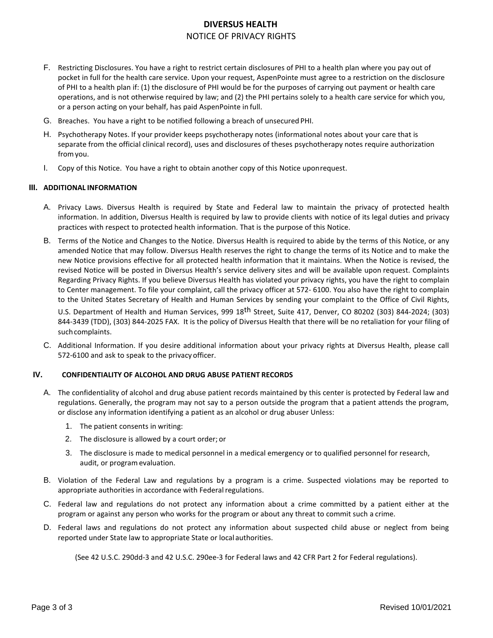# **DIVERSUS HEALTH** NOTICE OF PRIVACY RIGHTS

- F. Restricting Disclosures. You have a right to restrict certain disclosures of PHI to a health plan where you pay out of pocket in full for the health care service. Upon your request, AspenPointe must agree to a restriction on the disclosure of PHI to a health plan if: (1) the disclosure of PHI would be for the purposes of carrying out payment or health care operations, and is not otherwise required by law; and (2) the PHI pertains solely to a health care service for which you, or a person acting on your behalf, has paid AspenPointe in full.
- G. Breaches. You have a right to be notified following a breach of unsecured PHI.
- H. Psychotherapy Notes. If your provider keeps psychotherapy notes (informational notes about your care that is separate from the official clinical record), uses and disclosures of theses psychotherapy notes require authorization fromyou.
- I. Copy of this Notice. You have a right to obtain another copy of this Notice uponrequest.

#### **III. ADDITIONAL INFORMATION**

- A. Privacy Laws. Diversus Health is required by State and Federal law to maintain the privacy of protected health information. In addition, Diversus Health is required by law to provide clients with notice of its legal duties and privacy practices with respect to protected health information. That is the purpose of this Notice.
- B. Terms of the Notice and Changes to the Notice. Diversus Health is required to abide by the terms of this Notice, or any amended Notice that may follow. Diversus Health reserves the right to change the terms of its Notice and to make the new Notice provisions effective for all protected health information that it maintains. When the Notice is revised, the revised Notice will be posted in Diversus Health's service delivery sites and will be available upon request. Complaints Regarding Privacy Rights. If you believe Diversus Health has violated your privacy rights, you have the right to complain to Center management. To file your complaint, call the privacy officer at 572- 6100. You also have the right to complain to the United States Secretary of Health and Human Services by sending your complaint to the Office of Civil Rights,

U.S. Department of Health and Human Services, 999 18<sup>th</sup> Street, Suite 417, Denver, CO 80202 (303) 844-2024; (303) 844-3439 (TDD), (303) 844-2025 FAX. It is the policy of Diversus Health that there will be no retaliation for your filing of such complaints.

C. Additional Information. If you desire additional information about your privacy rights at Diversus Health, please call 572-6100 and ask to speak to the privacy officer.

#### **IV. CONFIDENTIALITY OF ALCOHOL AND DRUG ABUSE PATIENT RECORDS**

- A. The confidentiality of alcohol and drug abuse patient records maintained by this center is protected by Federal law and regulations. Generally, the program may not say to a person outside the program that a patient attends the program, or disclose any information identifying a patient as an alcohol or drug abuser Unless:
	- 1. The patient consents in writing:
	- 2. The disclosure is allowed by a court order; or
	- 3. The disclosure is made to medical personnel in a medical emergency or to qualified personnel for research, audit, or programevaluation.
- B. Violation of the Federal Law and regulations by a program is a crime. Suspected violations may be reported to appropriate authorities in accordance with Federal regulations.
- C. Federal law and regulations do not protect any information about a crime committed by a patient either at the program or against any person who works for the program or about any threat to commit such a crime.
- D. Federal laws and regulations do not protect any information about suspected child abuse or neglect from being reported under State law to appropriate State or local authorities.

(See 42 U.S.C. 290dd-3 and 42 U.S.C. 290ee-3 for Federal laws and 42 CFR Part 2 for Federal regulations).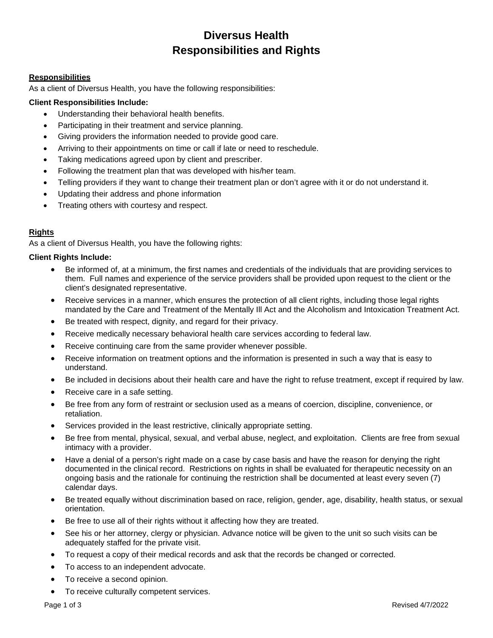# **Diversus Health Responsibilities and Rights**

## **Responsibilities**

As a client of Diversus Health, you have the following responsibilities:

# **Client Responsibilities Include:**

- Understanding their behavioral health benefits.
- Participating in their treatment and service planning.
- Giving providers the information needed to provide good care.
- Arriving to their appointments on time or call if late or need to reschedule.
- Taking medications agreed upon by client and prescriber.
- Following the treatment plan that was developed with his/her team.
- Telling providers if they want to change their treatment plan or don't agree with it or do not understand it.
- Updating their address and phone information
- Treating others with courtesy and respect.

# **Rights**

As a client of Diversus Health, you have the following rights:

#### **Client Rights Include:**

- Be informed of, at a minimum, the first names and credentials of the individuals that are providing services to them. Full names and experience of the service providers shall be provided upon request to the client or the client's designated representative.
- Receive services in a manner, which ensures the protection of all client rights, including those legal rights mandated by the Care and Treatment of the Mentally Ill Act and the Alcoholism and Intoxication Treatment Act.
- Be treated with respect, dignity, and regard for their privacy.
- Receive medically necessary behavioral health care services according to federal law.
- Receive continuing care from the same provider whenever possible.
- Receive information on treatment options and the information is presented in such a way that is easy to understand.
- Be included in decisions about their health care and have the right to refuse treatment, except if required by law.
- Receive care in a safe setting.
- Be free from any form of restraint or seclusion used as a means of coercion, discipline, convenience, or retaliation.
- Services provided in the least restrictive, clinically appropriate setting.
- Be free from mental, physical, sexual, and verbal abuse, neglect, and exploitation. Clients are free from sexual intimacy with a provider.
- Have a denial of a person's right made on a case by case basis and have the reason for denying the right documented in the clinical record. Restrictions on rights in shall be evaluated for therapeutic necessity on an ongoing basis and the rationale for continuing the restriction shall be documented at least every seven (7) calendar days.
- Be treated equally without discrimination based on race, religion, gender, age, disability, health status, or sexual orientation.
- Be free to use all of their rights without it affecting how they are treated.
- See his or her attorney, clergy or physician. Advance notice will be given to the unit so such visits can be adequately staffed for the private visit.
- To request a copy of their medical records and ask that the records be changed or corrected.
- To access to an independent advocate.
- To receive a second opinion.
- To receive culturally competent services.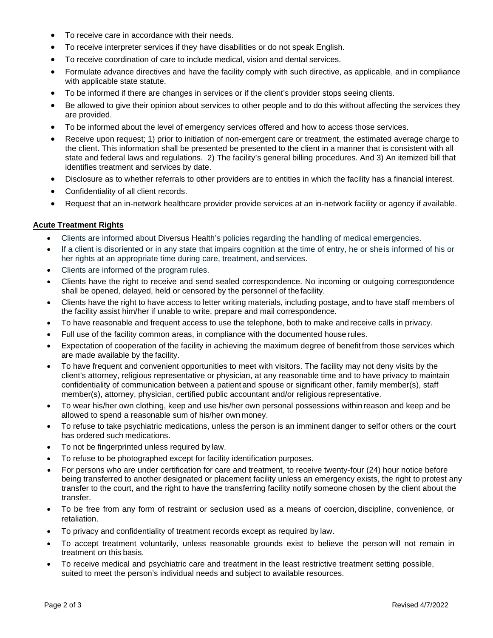- To receive care in accordance with their needs.
- To receive interpreter services if they have disabilities or do not speak English.
- To receive coordination of care to include medical, vision and dental services.
- Formulate advance directives and have the facility comply with such directive, as applicable, and in compliance with applicable state statute.
- To be informed if there are changes in services or if the client's provider stops seeing clients.
- Be allowed to give their opinion about services to other people and to do this without affecting the services they are provided.
- To be informed about the level of emergency services offered and how to access those services.
- Receive upon request; 1) prior to initiation of non-emergent care or treatment, the estimated average charge to the client. This information shall be presented be presented to the client in a manner that is consistent with all state and federal laws and regulations. 2) The facility's general billing procedures. And 3) An itemized bill that identifies treatment and services by date.
- Disclosure as to whether referrals to other providers are to entities in which the facility has a financial interest.
- Confidentiality of all client records.
- Request that an in-network healthcare provider provide services at an in-network facility or agency if available.

# **Acute Treatment Rights**

- Clients are informed about Diversus Health's policies regarding the handling of medical emergencies.
- If a client is disoriented or in any state that impairs cognition at the time of entry, he or sheis informed of his or her rights at an appropriate time during care, treatment, and services.
- Clients are informed of the program rules.
- Clients have the right to receive and send sealed correspondence. No incoming or outgoing correspondence shall be opened, delayed, held or censored by the personnel of thefacility.
- Clients have the right to have access to letter writing materials, including postage, and to have staff members of the facility assist him/her if unable to write, prepare and mail correspondence.
- To have reasonable and frequent access to use the telephone, both to make and receive calls in privacy.
- Full use of the facility common areas, in compliance with the documented house rules.
- Expectation of cooperation of the facility in achieving the maximum degree of benefitfrom those services which are made available by the facility.
- To have frequent and convenient opportunities to meet with visitors. The facility may not deny visits by the client's attorney, religious representative or physician, at any reasonable time and to have privacy to maintain confidentiality of communication between a patient and spouse or significant other, family member(s), staff member(s), attorney, physician, certified public accountant and/or religious representative.
- To wear his/her own clothing, keep and use his/her own personal possessions within reason and keep and be allowed to spend a reasonable sum of his/her own money.
- To refuse to take psychiatric medications, unless the person is an imminent danger to selfor others or the court has ordered such medications.
- To not be fingerprinted unless required by law.
- To refuse to be photographed except for facility identification purposes.
- For persons who are under certification for care and treatment, to receive twenty-four (24) hour notice before being transferred to another designated or placement facility unless an emergency exists, the right to protest any transfer to the court, and the right to have the transferring facility notify someone chosen by the client about the transfer.
- To be free from any form of restraint or seclusion used as a means of coercion, discipline, convenience, or retaliation.
- To privacy and confidentiality of treatment records except as required by law.
- To accept treatment voluntarily, unless reasonable grounds exist to believe the person will not remain in treatment on this basis.
- To receive medical and psychiatric care and treatment in the least restrictive treatment setting possible, suited to meet the person's individual needs and subject to available resources.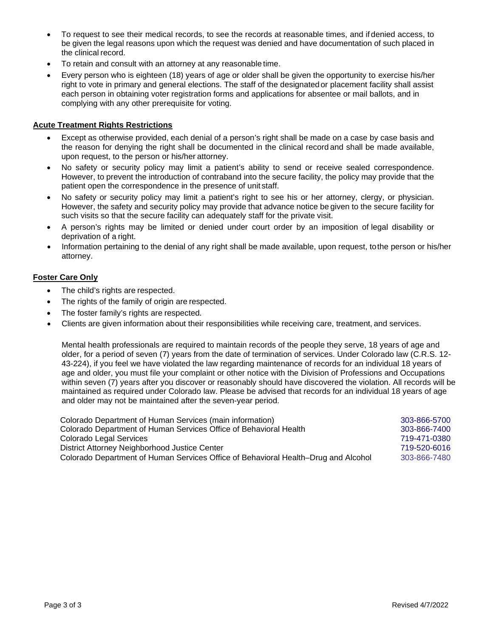- To request to see their medical records, to see the records at reasonable times, and if denied access, to be given the legal reasons upon which the request was denied and have documentation of such placed in the clinical record.
- To retain and consult with an attorney at any reasonable time.
- Every person who is eighteen (18) years of age or older shall be given the opportunity to exercise his/her right to vote in primary and general elections. The staff of the designatedor placement facility shall assist each person in obtaining voter registration forms and applications for absentee or mail ballots, and in complying with any other prerequisite for voting.

## **Acute Treatment Rights Restrictions**

- Except as otherwise provided, each denial of a person's right shall be made on a case by case basis and the reason for denying the right shall be documented in the clinical record and shall be made available, upon request, to the person or his/her attorney.
- No safety or security policy may limit a patient's ability to send or receive sealed correspondence. However, to prevent the introduction of contraband into the secure facility, the policy may provide that the patient open the correspondence in the presence of unit staff.
- No safety or security policy may limit a patient's right to see his or her attorney, clergy, or physician. However, the safety and security policy may provide that advance notice be given to the secure facility for such visits so that the secure facility can adequately staff for the private visit.
- A person's rights may be limited or denied under court order by an imposition of legal disability or deprivation of a right.
- Information pertaining to the denial of any right shall be made available, upon request, tothe person or his/her attorney.

# **Foster Care Only**

- The child's rights are respected.
- The rights of the family of origin are respected.
- The foster family's rights are respected.
- Clients are given information about their responsibilities while receiving care, treatment, and services.

Mental health professionals are required to maintain records of the people they serve, 18 years of age and older, for a period of seven (7) years from the date of termination of services. Under Colorado law (C.R.S. 12- 43-224), if you feel we have violated the law regarding maintenance of records for an individual 18 years of age and older, you must file your complaint or other notice with the Division of Professions and Occupations within seven (7) years after you discover or reasonably should have discovered the violation. All records will be maintained as required under Colorado law. Please be advised that records for an individual 18 years of age and older may not be maintained after the seven-year period.

| Colorado Department of Human Services (main information)                           | 303-866-5700 |
|------------------------------------------------------------------------------------|--------------|
| Colorado Department of Human Services Office of Behavioral Health                  | 303-866-7400 |
| Colorado Legal Services                                                            | 719-471-0380 |
| District Attorney Neighborhood Justice Center                                      | 719-520-6016 |
| Colorado Department of Human Services Office of Behavioral Health–Drug and Alcohol | 303-866-7480 |